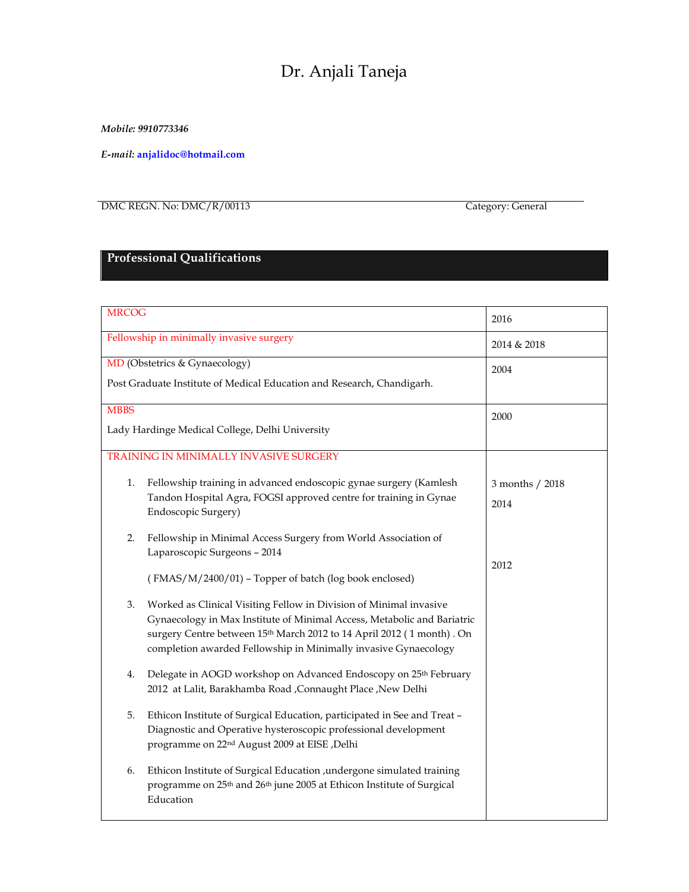# Dr. Anjali Taneja

*Mobile: 9910773346*

*E-mail:* **anjalidoc@hotmail.com**

DMC REGN. No: DMC/R/00113 Category: General

## **Professional Qualifications**

| <b>MRCOG</b>                                                           |                                                                                                                                                                                      | 2016            |
|------------------------------------------------------------------------|--------------------------------------------------------------------------------------------------------------------------------------------------------------------------------------|-----------------|
| Fellowship in minimally invasive surgery                               |                                                                                                                                                                                      | 2014 & 2018     |
| MD (Obstetrics & Gynaecology)                                          |                                                                                                                                                                                      | 2004            |
| Post Graduate Institute of Medical Education and Research, Chandigarh. |                                                                                                                                                                                      |                 |
| <b>MBBS</b>                                                            |                                                                                                                                                                                      | 2000            |
| Lady Hardinge Medical College, Delhi University                        |                                                                                                                                                                                      |                 |
|                                                                        | TRAINING IN MINIMALLY INVASIVE SURGERY                                                                                                                                               |                 |
| 1.                                                                     | Fellowship training in advanced endoscopic gynae surgery (Kamlesh                                                                                                                    | 3 months / 2018 |
|                                                                        | Tandon Hospital Agra, FOGSI approved centre for training in Gynae<br>Endoscopic Surgery)                                                                                             | 2014            |
| 2.                                                                     | Fellowship in Minimal Access Surgery from World Association of<br>Laparoscopic Surgeons - 2014                                                                                       |                 |
|                                                                        | (FMAS/M/2400/01) - Topper of batch (log book enclosed)                                                                                                                               | 2012            |
| 3.                                                                     | Worked as Clinical Visiting Fellow in Division of Minimal invasive                                                                                                                   |                 |
|                                                                        | Gynaecology in Max Institute of Minimal Access, Metabolic and Bariatric<br>surgery Centre between 15th March 2012 to 14 April 2012 (1 month). On                                     |                 |
|                                                                        | completion awarded Fellowship in Minimally invasive Gynaecology                                                                                                                      |                 |
| 4.                                                                     | Delegate in AOGD workshop on Advanced Endoscopy on 25th February                                                                                                                     |                 |
|                                                                        | 2012 at Lalit, Barakhamba Road , Connaught Place , New Delhi                                                                                                                         |                 |
| 5.                                                                     | Ethicon Institute of Surgical Education, participated in See and Treat -                                                                                                             |                 |
|                                                                        | Diagnostic and Operative hysteroscopic professional development<br>programme on 22 <sup>nd</sup> August 2009 at EISE, Delhi                                                          |                 |
| 6.                                                                     | Ethicon Institute of Surgical Education , undergone simulated training<br>programme on 25 <sup>th</sup> and 26 <sup>th</sup> june 2005 at Ethicon Institute of Surgical<br>Education |                 |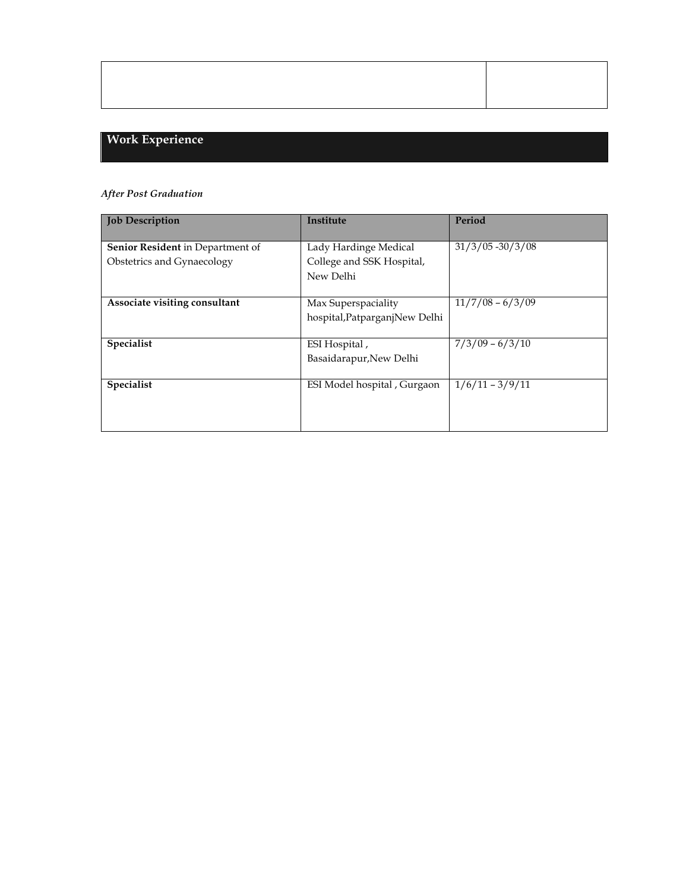## **Work Experience**

### *After Post Graduation*

| <b>Job Description</b>                  | Institute                     | Period              |
|-----------------------------------------|-------------------------------|---------------------|
|                                         |                               |                     |
| <b>Senior Resident</b> in Department of | Lady Hardinge Medical         | $31/3/05 - 30/3/08$ |
| Obstetrics and Gynaecology              | College and SSK Hospital,     |                     |
|                                         | New Delhi                     |                     |
|                                         |                               |                     |
| Associate visiting consultant           | Max Superspaciality           | $11/7/08 - 6/3/09$  |
|                                         | hospital, PatparganjNew Delhi |                     |
|                                         |                               |                     |
| Specialist                              | ESI Hospital,                 | $7/3/09 - 6/3/10$   |
|                                         | Basaidarapur, New Delhi       |                     |
|                                         |                               |                     |
| Specialist                              | ESI Model hospital, Gurgaon   | $1/6/11 - 3/9/11$   |
|                                         |                               |                     |
|                                         |                               |                     |
|                                         |                               |                     |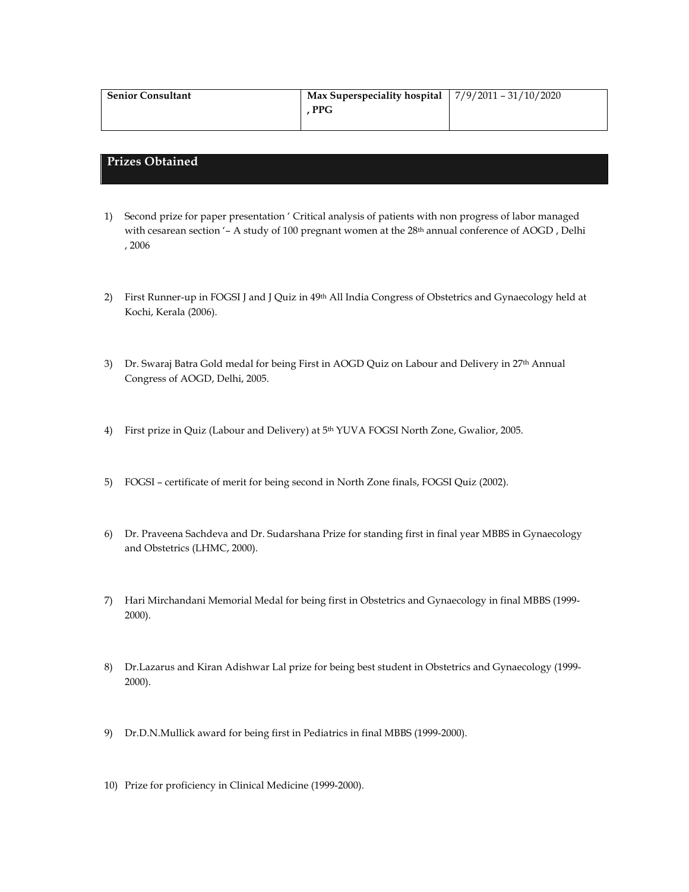| <b>Senior Consultant</b> | Max Superspeciality hospital $\left  \frac{7}{9}\right\rangle 2011 - \frac{31}{10}/2020$ |  |
|--------------------------|------------------------------------------------------------------------------------------|--|
|                          | <b>PPG</b>                                                                               |  |
|                          |                                                                                          |  |

#### **Prizes Obtained**

- 1) Second prize for paper presentation ' Critical analysis of patients with non progress of labor managed with cesarean section '- A study of 100 pregnant women at the 28<sup>th</sup> annual conference of AOGD, Delhi , 2006
- 2) First Runner-up in FOGSI J and J Quiz in 49th All India Congress of Obstetrics and Gynaecology held at Kochi, Kerala (2006).
- 3) Dr. Swaraj Batra Gold medal for being First in AOGD Quiz on Labour and Delivery in 27th Annual Congress of AOGD, Delhi, 2005.
- 4) First prize in Quiz (Labour and Delivery) at 5th YUVA FOGSI North Zone, Gwalior, 2005.
- 5) FOGSI certificate of merit for being second in North Zone finals, FOGSI Quiz (2002).
- 6) Dr. Praveena Sachdeva and Dr. Sudarshana Prize for standing first in final year MBBS in Gynaecology and Obstetrics (LHMC, 2000).
- 7) Hari Mirchandani Memorial Medal for being first in Obstetrics and Gynaecology in final MBBS (1999- 2000).
- 8) Dr.Lazarus and Kiran Adishwar Lal prize for being best student in Obstetrics and Gynaecology (1999- 2000).
- 9) Dr.D.N.Mullick award for being first in Pediatrics in final MBBS (1999-2000).
- 10) Prize for proficiency in Clinical Medicine (1999-2000).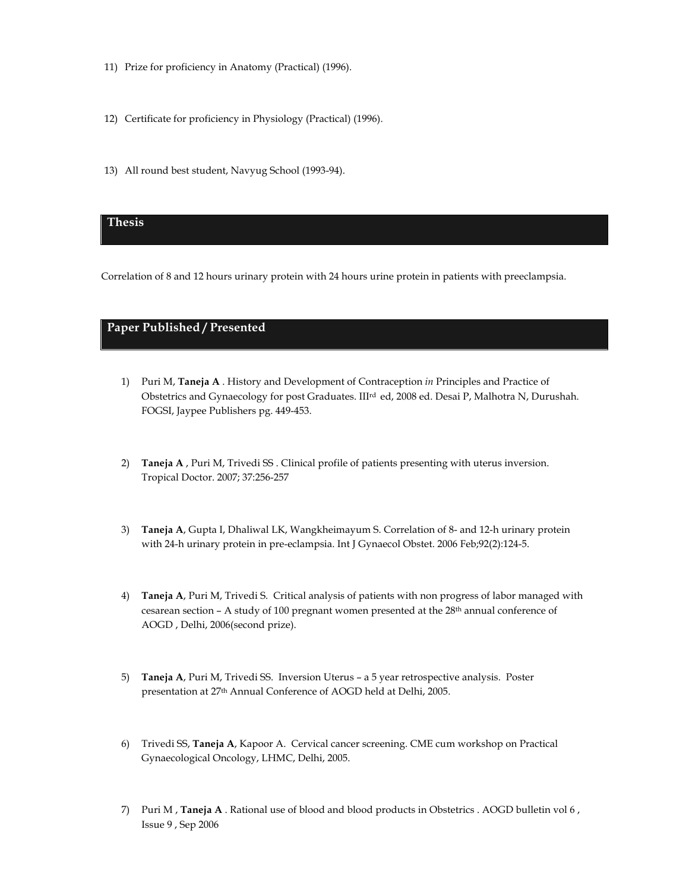- 11) Prize for proficiency in Anatomy (Practical) (1996).
- 12) Certificate for proficiency in Physiology (Practical) (1996).
- 13) All round best student, Navyug School (1993-94).

#### **Thesis**

Correlation of 8 and 12 hours urinary protein with 24 hours urine protein in patients with preeclampsia.

#### **Paper Published / Presented**

- 1) Puri M, **Taneja A** . History and Development of Contraception *in* Principles and Practice of Obstetrics and Gynaecology for post Graduates. IIIrd ed, 2008 ed. Desai P, Malhotra N, Durushah. FOGSI, Jaypee Publishers pg. 449-453.
- 2) **Taneja A** , Puri M, Trivedi SS . Clinical profile of patients presenting with uterus inversion. Tropical Doctor. 2007; 37:256-257
- 3) **Taneja A**, Gupta I, Dhaliwal LK, Wangkheimayum S. Correlation of 8- and 12-h urinary protein with 24-h urinary protein in pre-eclampsia. Int J Gynaecol Obstet. 2006 Feb;92(2):124-5.
- 4) **Taneja A**, Puri M, Trivedi S. Critical analysis of patients with non progress of labor managed with cesarean section – A study of 100 pregnant women presented at the 28th annual conference of AOGD , Delhi, 2006(second prize).
- 5) **Taneja A**, Puri M, Trivedi SS. Inversion Uterus a 5 year retrospective analysis. Poster presentation at 27th Annual Conference of AOGD held at Delhi, 2005.
- 6) Trivedi SS, **Taneja A**, Kapoor A. Cervical cancer screening. CME cum workshop on Practical Gynaecological Oncology, LHMC, Delhi, 2005.
- 7) Puri M , **Taneja A** . Rational use of blood and blood products in Obstetrics . AOGD bulletin vol 6 , Issue 9 , Sep 2006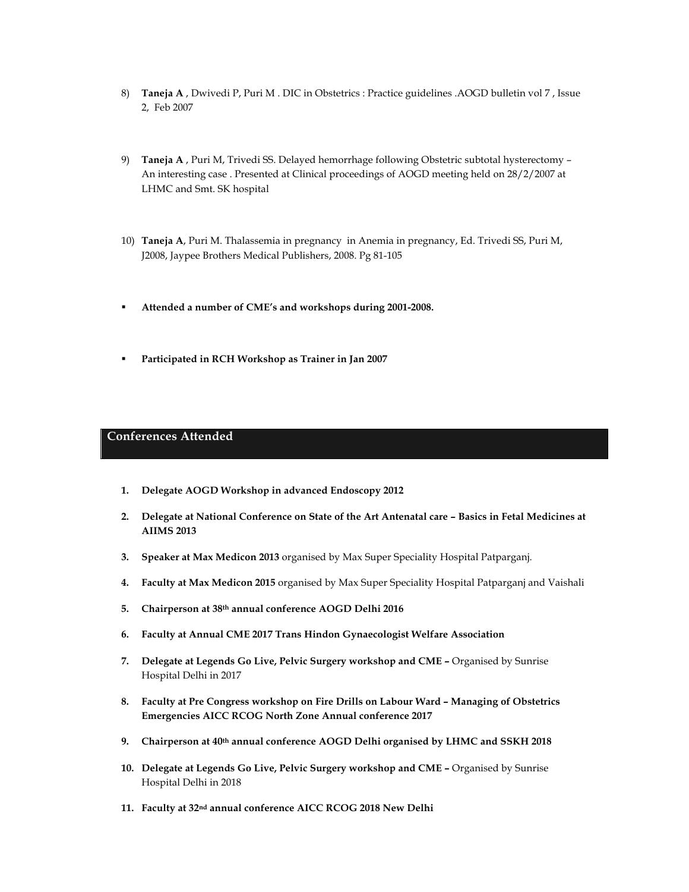- 8) **Taneja A** , Dwivedi P, Puri M . DIC in Obstetrics : Practice guidelines .AOGD bulletin vol 7 , Issue 2, Feb 2007
- 9) **Taneja A** , Puri M, Trivedi SS. Delayed hemorrhage following Obstetric subtotal hysterectomy An interesting case . Presented at Clinical proceedings of AOGD meeting held on 28/2/2007 at LHMC and Smt. SK hospital
- 10) **Taneja A**, Puri M. Thalassemia in pregnancy in Anemia in pregnancy, Ed. Trivedi SS, Puri M, J2008, Jaypee Brothers Medical Publishers, 2008. Pg 81-105
- § **Attended a number of CME's and workshops during 2001-2008.**
- § **Participated in RCH Workshop as Trainer in Jan 2007**

#### **Conferences Attended**

- **1. Delegate AOGD Workshop in advanced Endoscopy 2012**
- **2. Delegate at National Conference on State of the Art Antenatal care – Basics in Fetal Medicines at AIIMS 2013**
- **3. Speaker at Max Medicon 2013** organised by Max Super Speciality Hospital Patparganj.
- **4. Faculty at Max Medicon 2015** organised by Max Super Speciality Hospital Patparganj and Vaishali
- **5. Chairperson at 38th annual conference AOGD Delhi 2016**
- **6. Faculty at Annual CME 2017 Trans Hindon Gynaecologist Welfare Association**
- **7. Delegate at Legends Go Live, Pelvic Surgery workshop and CME –** Organised by Sunrise Hospital Delhi in 2017
- **8. Faculty at Pre Congress workshop on Fire Drills on Labour Ward – Managing of Obstetrics Emergencies AICC RCOG North Zone Annual conference 2017**
- **9. Chairperson at 40th annual conference AOGD Delhi organised by LHMC and SSKH 2018**
- **10. Delegate at Legends Go Live, Pelvic Surgery workshop and CME –** Organised by Sunrise Hospital Delhi in 2018
- **11. Faculty at 32nd annual conference AICC RCOG 2018 New Delhi**